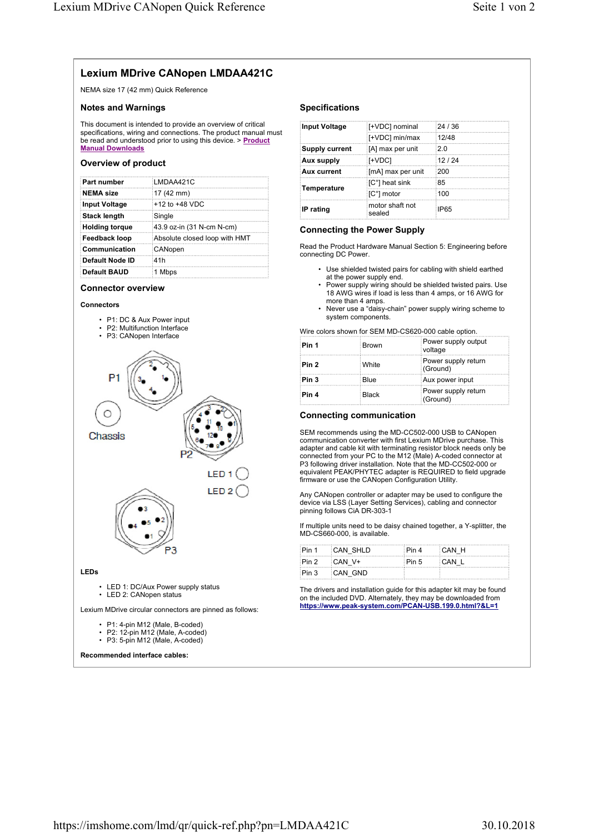# **Lexium MDrive CANopen LMDAA421C**

NEMA size 17 (42 mm) Quick Reference

# **Notes and Warnings**

This document is intended to provide an overview of critical specifications, wiring and connections. The product manual must be read and understood prior to using this device. > **Product Manual Downloads**

# **Overview of product**

| Part number            | ∃I MDAA421C                   |
|------------------------|-------------------------------|
| NEMA size              | 17 (42 mm)                    |
| Input Voltage          | $+12$ to $+48$ VDC            |
| <b>Stack length</b>    | Single                        |
| Holding torque         | 43.9 oz-in (31 N-cm N-cm)     |
| Feedback loop!         | Absolute closed loop with HMT |
| Communication          | CANopen                       |
| <b>Default Node ID</b> | :41h                          |
| Default BAUD           | 1 Mbps                        |

# **Connector overview**

# **Connectors**

- P1: DC & Aux Power input
- P2: Multifunction Interface
- P3: CANopen Interface



Lexium MDrive circular connectors are pinned as follows:

- 
- P1: 4-pin M12 (Male, B-coded) • P2: 12-pin M12 (Male, A-coded)
- P3: 5-pin M12 (Male, A-coded)

**Recommended interface cables:** 

# **Specifications**

| Input Voltage         | [+VDC] nominal            | 24/36       |
|-----------------------|---------------------------|-------------|
|                       | [+VDC] min/max            | 12/48       |
| <b>Supply current</b> | [A] max per unit          | ፡2 በ        |
| Aux supply            | :[+VDC]                   | 12/24       |
| Aux current           | [mA] max per unit         | :200        |
| <b>Temperature</b>    | [C°] heat sink            | :85         |
|                       | iC°l motor                | 100         |
| IP rating             | motor shaft not<br>sealed | <b>IP65</b> |

# **Connecting the Power Supply**

Read the Product Hardware Manual Section 5: Engineering before connecting DC Power.

- Use shielded twisted pairs for cabling with shield earthed at the power supply end.
- Power supply wiring should be shielded twisted pairs. Use 18 AWG wires if load is less than 4 amps, or 16 AWG for more than 4 amps.
- Never use a "daisy-chain" power supply wiring scheme to system components.

Wire colors shown for SEM MD-CS620-000 cable option.

| Pin 1            | <b>Brown</b> | Power supply output<br>voltage  |
|------------------|--------------|---------------------------------|
| Pin 2            | : White      | Power supply return<br>(Ground) |
| Pin <sub>3</sub> | Blue         | Aux power input                 |
| ∶Pin 4           | <b>Black</b> | Power supply return<br>(Ground) |

# **Connecting communication**

SEM recommends using the MD-CC502-000 USB to CANopen communication converter with first Lexium MDrive purchase. This adapter and cable kit with terminating resistor block needs only be connected from your PC to the M12 (Male) A-coded connector at P3 following driver installation. Note that the MD-CC502-000 or equivalent PEAK/PHYTEC adapter is REQUIRED to field upgrade firmware or use the CANopen Configuration Utility.

Any CANopen controller or adapter may be used to configure the device via LSS (Layer Setting Services), cabling and connector pinning follows CiA DR-303-1

If multiple units need to be daisy chained together, a Y-splitter, the MD-CS660-000, is available.

| Pin 1 CAN SHLD   | $\mathsf{Pin} \, 4$ $\mathsf{CAM} \, \, \mathsf{H}$ |  |
|------------------|-----------------------------------------------------|--|
| $Ph2$ $CAN$ $V+$ | Pin 5 CAN L                                         |  |
| Pin 3 CAN GND    |                                                     |  |

The drivers and installation guide for this adapter kit may be found on the included DVD. Alternately, they may be downloaded from **https://www.peak-system.com/PCAN-USB.199.0.html?&L=1**